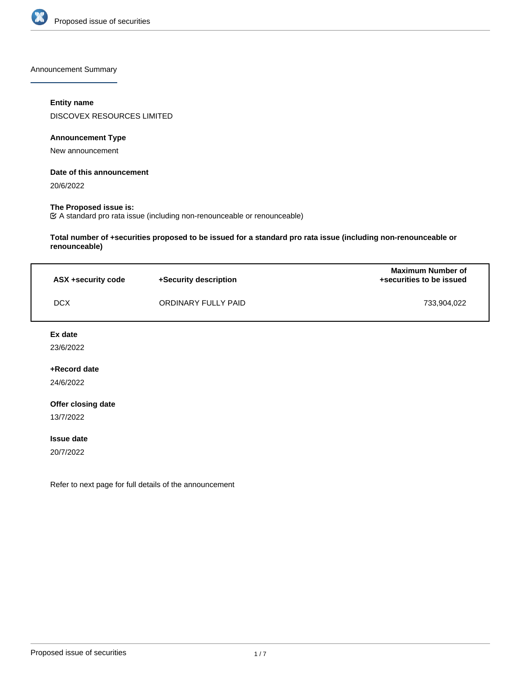

Announcement Summary

### **Entity name**

DISCOVEX RESOURCES LIMITED

### **Announcement Type**

New announcement

### **Date of this announcement**

20/6/2022

### **The Proposed issue is:**

A standard pro rata issue (including non-renounceable or renounceable)

**Total number of +securities proposed to be issued for a standard pro rata issue (including non-renounceable or renounceable)**

| ASX +security code | +Security description | <b>Maximum Number of</b><br>+securities to be issued |
|--------------------|-----------------------|------------------------------------------------------|
| <b>DCX</b>         | ORDINARY FULLY PAID   | 733.904.022                                          |

### **Ex date**

23/6/2022

# **+Record date**

24/6/2022

### **Offer closing date**

13/7/2022

#### **Issue date**

20/7/2022

Refer to next page for full details of the announcement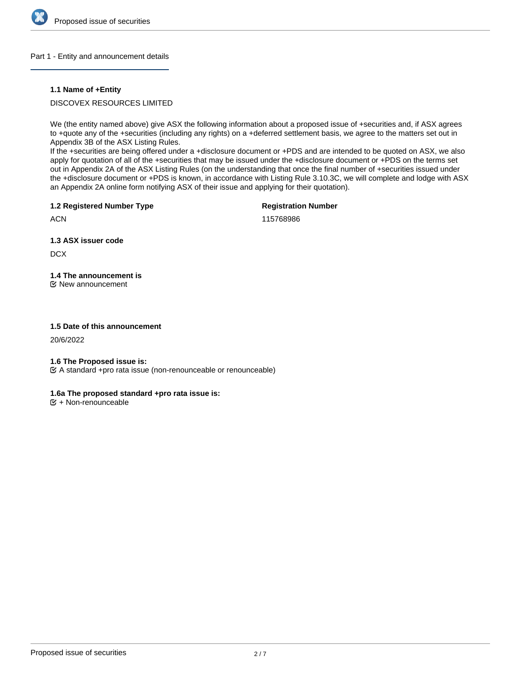

#### Part 1 - Entity and announcement details

### **1.1 Name of +Entity**

DISCOVEX RESOURCES LIMITED

We (the entity named above) give ASX the following information about a proposed issue of +securities and, if ASX agrees to +quote any of the +securities (including any rights) on a +deferred settlement basis, we agree to the matters set out in Appendix 3B of the ASX Listing Rules.

If the +securities are being offered under a +disclosure document or +PDS and are intended to be quoted on ASX, we also apply for quotation of all of the +securities that may be issued under the +disclosure document or +PDS on the terms set out in Appendix 2A of the ASX Listing Rules (on the understanding that once the final number of +securities issued under the +disclosure document or +PDS is known, in accordance with Listing Rule 3.10.3C, we will complete and lodge with ASX an Appendix 2A online form notifying ASX of their issue and applying for their quotation).

**1.2 Registered Number Type**

**Registration Number**

**ACN** 

115768986

**1.3 ASX issuer code**

**DCX** 

**1.4 The announcement is**

New announcement

### **1.5 Date of this announcement**

20/6/2022

### **1.6 The Proposed issue is:**

A standard +pro rata issue (non-renounceable or renounceable)

# **1.6a The proposed standard +pro rata issue is:**

 $E + \text{Non-renounceable}$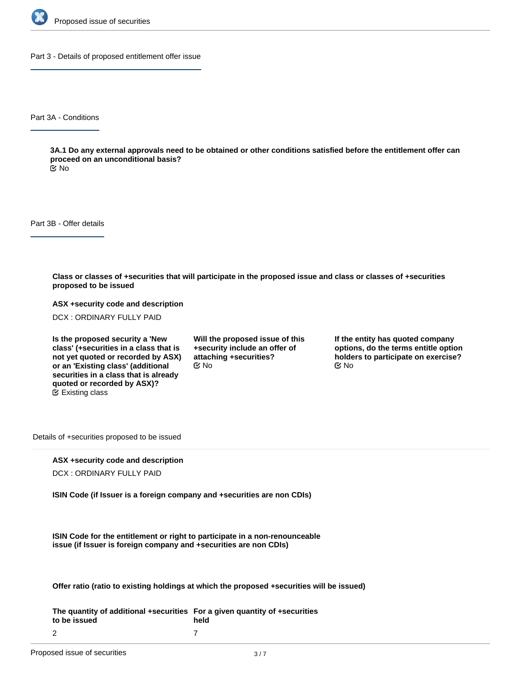

Part 3 - Details of proposed entitlement offer issue

Part 3A - Conditions

**3A.1 Do any external approvals need to be obtained or other conditions satisfied before the entitlement offer can proceed on an unconditional basis?**

No

Part 3B - Offer details

**Class or classes of +securities that will participate in the proposed issue and class or classes of +securities proposed to be issued**

**ASX +security code and description**

DCX : ORDINARY FULLY PAID

**Is the proposed security a 'New class' (+securities in a class that is not yet quoted or recorded by ASX) or an 'Existing class' (additional securities in a class that is already quoted or recorded by ASX)?** Existing class

**Will the proposed issue of this +security include an offer of attaching +securities?**  $\mathfrak{S}$  No  $\mathfrak{S}$  No  $\mathfrak{S}$  No

**If the entity has quoted company options, do the terms entitle option holders to participate on exercise?**

Details of +securities proposed to be issued

### **ASX +security code and description**

DCX : ORDINARY FULLY PAID

**ISIN Code (if Issuer is a foreign company and +securities are non CDIs)**

**ISIN Code for the entitlement or right to participate in a non-renounceable issue (if Issuer is foreign company and +securities are non CDIs)**

**Offer ratio (ratio to existing holdings at which the proposed +securities will be issued)**

**The quantity of additional +securities For a given quantity of +securities to be issued** 2 **held** 7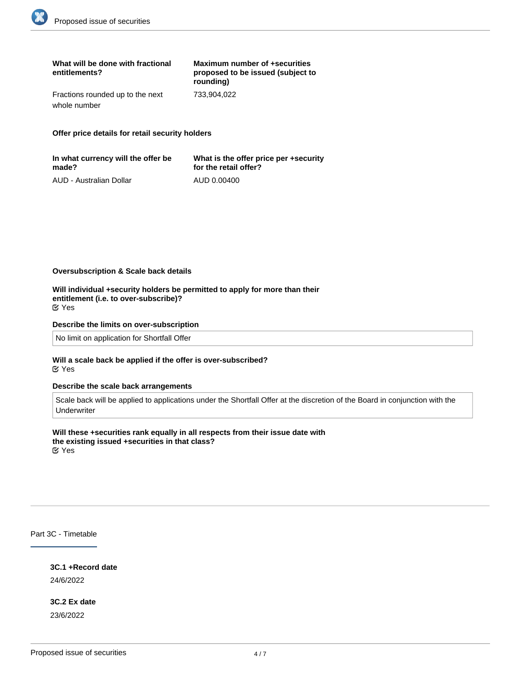| What will be done with fractional<br>entitlements? | Maximum number of +securities<br>proposed to be issued (subject to<br>rounding) |
|----------------------------------------------------|---------------------------------------------------------------------------------|
| Fractions rounded up to the next                   | 733.904.022                                                                     |
| whole number                                       |                                                                                 |

**Offer price details for retail security holders**

| In what currency will the offer be | What is the offer price per +security |
|------------------------------------|---------------------------------------|
| made?                              | for the retail offer?                 |
| AUD - Australian Dollar            | AUD 0.00400                           |

**Oversubscription & Scale back details**

**Will individual +security holders be permitted to apply for more than their entitlement (i.e. to over-subscribe)?** Yes

#### **Describe the limits on over-subscription**

No limit on application for Shortfall Offer

#### **Will a scale back be applied if the offer is over-subscribed?** Yes

#### **Describe the scale back arrangements**

Scale back will be applied to applications under the Shortfall Offer at the discretion of the Board in conjunction with the Underwriter

**Will these +securities rank equally in all respects from their issue date with the existing issued +securities in that class?**

Yes

Part 3C - Timetable

**3C.1 +Record date** 24/6/2022

**3C.2 Ex date** 23/6/2022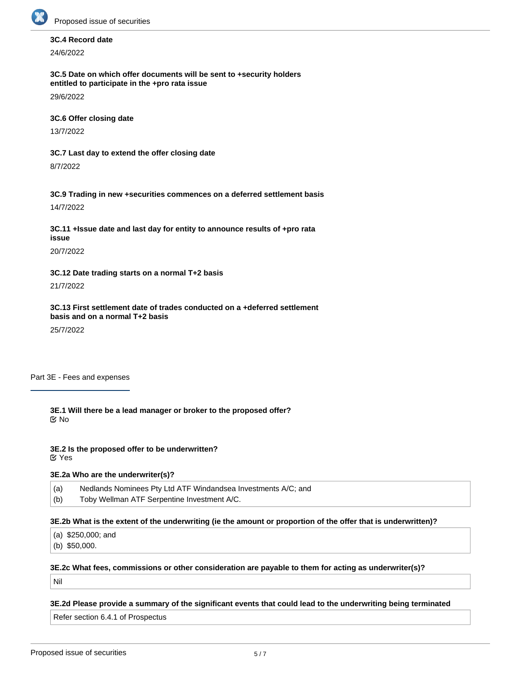

# **3C.4 Record date**

24/6/2022

**3C.5 Date on which offer documents will be sent to +security holders entitled to participate in the +pro rata issue**

29/6/2022

# **3C.6 Offer closing date**

13/7/2022

**3C.7 Last day to extend the offer closing date**

8/7/2022

**3C.9 Trading in new +securities commences on a deferred settlement basis** 14/7/2022

**3C.11 +Issue date and last day for entity to announce results of +pro rata issue**

20/7/2022

**3C.12 Date trading starts on a normal T+2 basis**

21/7/2022

**3C.13 First settlement date of trades conducted on a +deferred settlement basis and on a normal T+2 basis**

25/7/2022

Part 3E - Fees and expenses

**3E.1 Will there be a lead manager or broker to the proposed offer?** No

**3E.2 Is the proposed offer to be underwritten?** Yes

# **3E.2a Who are the underwriter(s)?**

(a) Nedlands Nominees Pty Ltd ATF Windandsea Investments A/C; and

(b) Toby Wellman ATF Serpentine Investment A/C.

**3E.2b What is the extent of the underwriting (ie the amount or proportion of the offer that is underwritten)?**

(a) \$250,000; and

(b) \$50,000.

### **3E.2c What fees, commissions or other consideration are payable to them for acting as underwriter(s)?**

**3E.2e Is a party referred to in listing rule 10.11 underwriting or sub-underwriting the proposed offer?**

Nil

**3E.2d Please provide a summary of the significant events that could lead to the underwriting being terminated**

Refer section 6.4.1 of Prospectus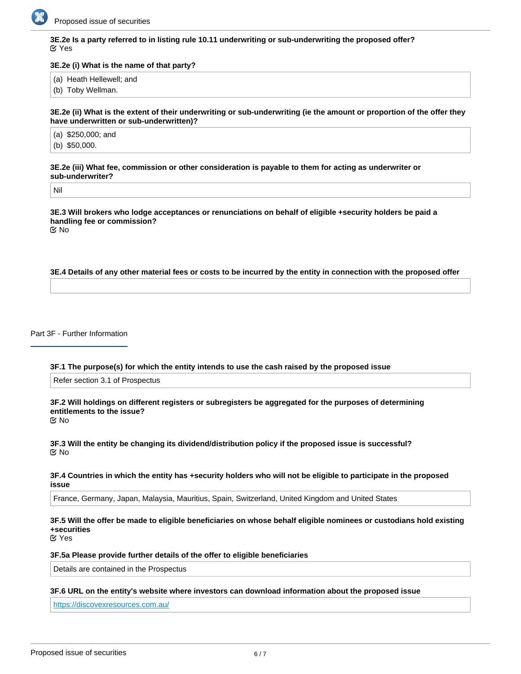

**3E.2e Is a party referred to in listing rule 10.11 underwriting or sub-underwriting the proposed offer?** Yes

#### **3E.2e (i) What is the name of that party?**

(a) Heath Hellewell; and

(b) Toby Wellman.

**3E.2e (ii) What is the extent of their underwriting or sub-underwriting (ie the amount or proportion of the offer they have underwritten or sub-underwritten)?**

(a) \$250,000; and (b) \$50,000.

**3E.2e (iii) What fee, commission or other consideration is payable to them for acting as underwriter or sub-underwriter?**

Nil

**3E.3 Will brokers who lodge acceptances or renunciations on behalf of eligible +security holders be paid a handling fee or commission?** No

#### **3E.4 Details of any other material fees or costs to be incurred by the entity in connection with the proposed offer**

Part 3F - Further Information

**3F.1 The purpose(s) for which the entity intends to use the cash raised by the proposed issue**

Refer section 3.1 of Prospectus

**3F.2 Will holdings on different registers or subregisters be aggregated for the purposes of determining entitlements to the issue?**

No

**3F.3 Will the entity be changing its dividend/distribution policy if the proposed issue is successful?** No

#### **3F.4 Countries in which the entity has +security holders who will not be eligible to participate in the proposed issue**

France, Germany, Japan, Malaysia, Mauritius, Spain, Switzerland, United Kingdom and United States

# **3F.5 Will the offer be made to eligible beneficiaries on whose behalf eligible nominees or custodians hold existing +securities**

Yes

#### **3F.5a Please provide further details of the offer to eligible beneficiaries**

Details are contained in the Prospectus

#### **3F.6 URL on the entity's website where investors can download information about the proposed issue**

<https://discovexresources.com.au/>